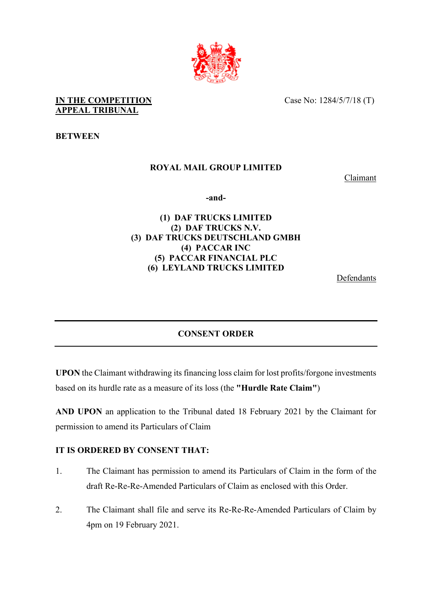

**IN THE COMPETITION APPEAL TRIBUNAL** 

Case No: 1284/5/7/18 (T)

**BETWEEN**

## **ROYAL MAIL GROUP LIMITED**

Claimant

**-and-** 

## **(1) DAF TRUCKS LIMITED (2) DAF TRUCKS N.V. (3) DAF TRUCKS DEUTSCHLAND GMBH (4) PACCAR INC (5) PACCAR FINANCIAL PLC (6) LEYLAND TRUCKS LIMITED**

**Defendants** 

## **CONSENT ORDER**

**UPON** the Claimant withdrawing its financing loss claim for lost profits/forgone investments based on its hurdle rate as a measure of its loss (the **"Hurdle Rate Claim"**)

**AND UPON** an application to the Tribunal dated 18 February 2021 by the Claimant for permission to amend its Particulars of Claim

## **IT IS ORDERED BY CONSENT THAT:**

- 1. The Claimant has permission to amend its Particulars of Claim in the form of the draft Re-Re-Re-Amended Particulars of Claim as enclosed with this Order.
- 2. The Claimant shall file and serve its Re-Re-Re-Amended Particulars of Claim by 4pm on 19 February 2021.